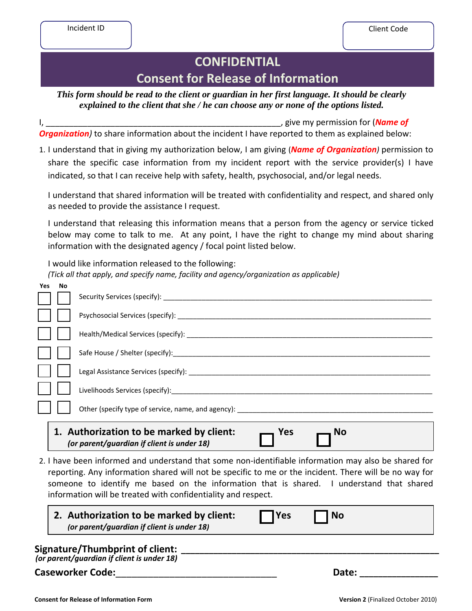## **CONFIDENTIAL Consent for Release of Information**

*This form should be read to the client or guardian in her first language. It should be clearly explained to the client that she / he can choose any or none of the options listed.*

I, \_\_\_\_\_\_\_\_\_\_\_\_\_\_\_\_\_\_\_\_\_\_\_\_\_\_\_\_\_\_\_\_\_\_\_\_\_\_\_\_\_\_\_\_\_\_\_\_\_\_\_, give my permission for (*Name of*  **Organization**) to share information about the incident I have reported to them as explained below:

1. I understand that in giving my authorization below, I am giving (*Name of Organization)* permission to share the specific case information from my incident report with the service provider(s) I have indicated, so that I can receive help with safety, health, psychosocial, and/or legal needs.

I understand that shared information will be treated with confidentiality and respect, and shared only as needed to provide the assistance I request.

I understand that releasing this information means that a person from the agency or service ticked below may come to talk to me. At any point, I have the right to change my mind about sharing information with the designated agency / focal point listed below.

I would like information released to the following: *(Tick all that apply, and specify name, facility and agency/organization as applicable)*

| <b>Yes</b> | No                                                                                                         |                                                    |  |  |
|------------|------------------------------------------------------------------------------------------------------------|----------------------------------------------------|--|--|
|            |                                                                                                            |                                                    |  |  |
|            |                                                                                                            |                                                    |  |  |
|            |                                                                                                            |                                                    |  |  |
|            |                                                                                                            | Safe House / Shelter (specify):                    |  |  |
|            |                                                                                                            |                                                    |  |  |
|            |                                                                                                            |                                                    |  |  |
|            |                                                                                                            | Other (specify type of service, name, and agency): |  |  |
|            | 1. Authorization to be marked by client:<br>Yes<br><b>No</b><br>(or parent/guardian if client is under 18) |                                                    |  |  |

2. I have been informed and understand that some non-identifiable information may also be shared for reporting. Any information shared will not be specific to me or the incident. There will be no way for someone to identify me based on the information that is shared. I understand that shared information will be treated with confidentiality and respect.

| 2. Authorization to be marked by client:   | $\prod$ Yes | $\Box$ No |  |
|--------------------------------------------|-------------|-----------|--|
| (or parent/guardian if client is under 18) |             |           |  |

| Signature/Thumbprint of client:            |  |
|--------------------------------------------|--|
| (or parent/guardian if client is under 18) |  |

**Caseworker Code:**\_\_\_\_\_\_\_\_\_\_\_\_\_\_\_\_\_\_\_\_\_\_\_\_\_\_\_\_\_\_ **Date: \_\_\_\_\_\_\_\_\_\_\_\_\_\_\_\_\_**